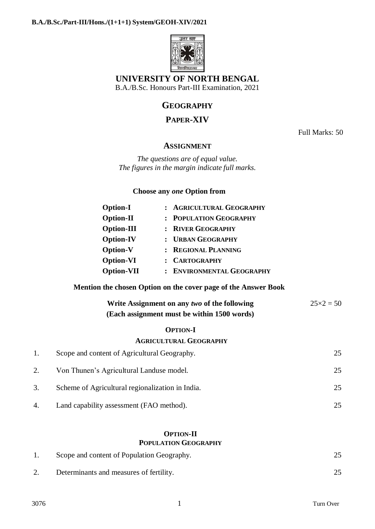

# **UNIVERSITY OF NORTH BENGAL**

B.A./B.Sc. Honours Part-III Examination, 2021

# **GEOGRAPHY**

# **PAPER-XIV**

Full Marks: 50

### **ASSIGNMENT**

*The questions are of equal value. The figures in the margin indicate full marks.*

### **Choose any** *one* **Option from**

| <b>Option-I</b>   | : AGRICULTURAL GEOGRAPHY  |
|-------------------|---------------------------|
| <b>Option-II</b>  | : POPULATION GEOGRAPHY    |
| <b>Option-III</b> | : RIVER GEOGRAPHY         |
| <b>Option-IV</b>  | : URBAN GEOGRAPHY         |
| <b>Option-V</b>   | : REGIONAL PLANNING       |
| <b>Option-VI</b>  | : CARTOGRAPHY             |
| <b>Option-VII</b> | : ENVIRONMENTAL GEOGRAPHY |

### **Mention the chosen Option on the cover page of the Answer Book**

| Write Assignment on any two of the following | $25 \times 2 = 50$ |
|----------------------------------------------|--------------------|
| (Each assignment must be within 1500 words)  |                    |

#### **OPTION-I**

### **AGRICULTURAL GEOGRAPHY**

|    | Scope and content of Agricultural Geography.     | 25 |
|----|--------------------------------------------------|----|
|    | Von Thunen's Agricultural Landuse model.         | 25 |
| 3. | Scheme of Agricultural regionalization in India. | 25 |
| 4. | Land capability assessment (FAO method).         |    |

### **OPTION-II POPULATION GEOGRAPHY**

| Scope and content of Population Geography. |  |
|--------------------------------------------|--|
| Determinants and measures of fertility.    |  |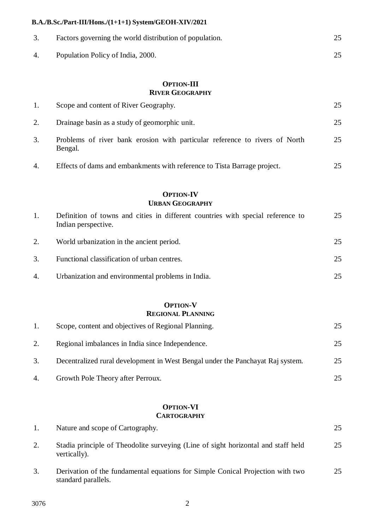### **B.A./B.Sc./Part-III/Hons./(1+1+1) System/GEOH-XIV/2021**

| Factors governing the world distribution of population. |    |
|---------------------------------------------------------|----|
| Population Policy of India, 2000.                       | 25 |

### **OPTION-III RIVER GEOGRAPHY**

|                  | <b>OPTION-IV</b>                                                                       |    |
|------------------|----------------------------------------------------------------------------------------|----|
| $\overline{4}$ . | Effects of dams and embankments with reference to Tista Barrage project.               | 25 |
| 3.               | Problems of river bank erosion with particular reference to rivers of North<br>Bengal. | 25 |
| 2.               | Drainage basin as a study of geomorphic unit.                                          | 25 |
| 1.               | Scope and content of River Geography.                                                  | 25 |

## **URBAN GEOGRAPHY**

|    | Definition of towns and cities in different countries with special reference to<br>Indian perspective. | 25 |
|----|--------------------------------------------------------------------------------------------------------|----|
| 2. | World urbanization in the ancient period.                                                              | 25 |
| 3. | Functional classification of urban centres.                                                            | 25 |
| 4. | Urbanization and environmental problems in India.                                                      | 25 |

#### **OPTION-V REGIONAL PLANNING**

|    | Scope, content and objectives of Regional Planning.                            | 25. |
|----|--------------------------------------------------------------------------------|-----|
| 2. | Regional imbalances in India since Independence.                               | 25  |
| 3. | Decentralized rural development in West Bengal under the Panchayat Raj system. | 25  |
| 4. | Growth Pole Theory after Perroux.                                              |     |

### **OPTION-VI CARTOGRAPHY**

| 1. | Nature and scope of Cartography.                                                                      | 25 |
|----|-------------------------------------------------------------------------------------------------------|----|
| 2. | Stadia principle of Theodolite surveying (Line of sight horizontal and staff held<br>vertically).     | 25 |
| 3. | Derivation of the fundamental equations for Simple Conical Projection with two<br>standard parallels. | 25 |